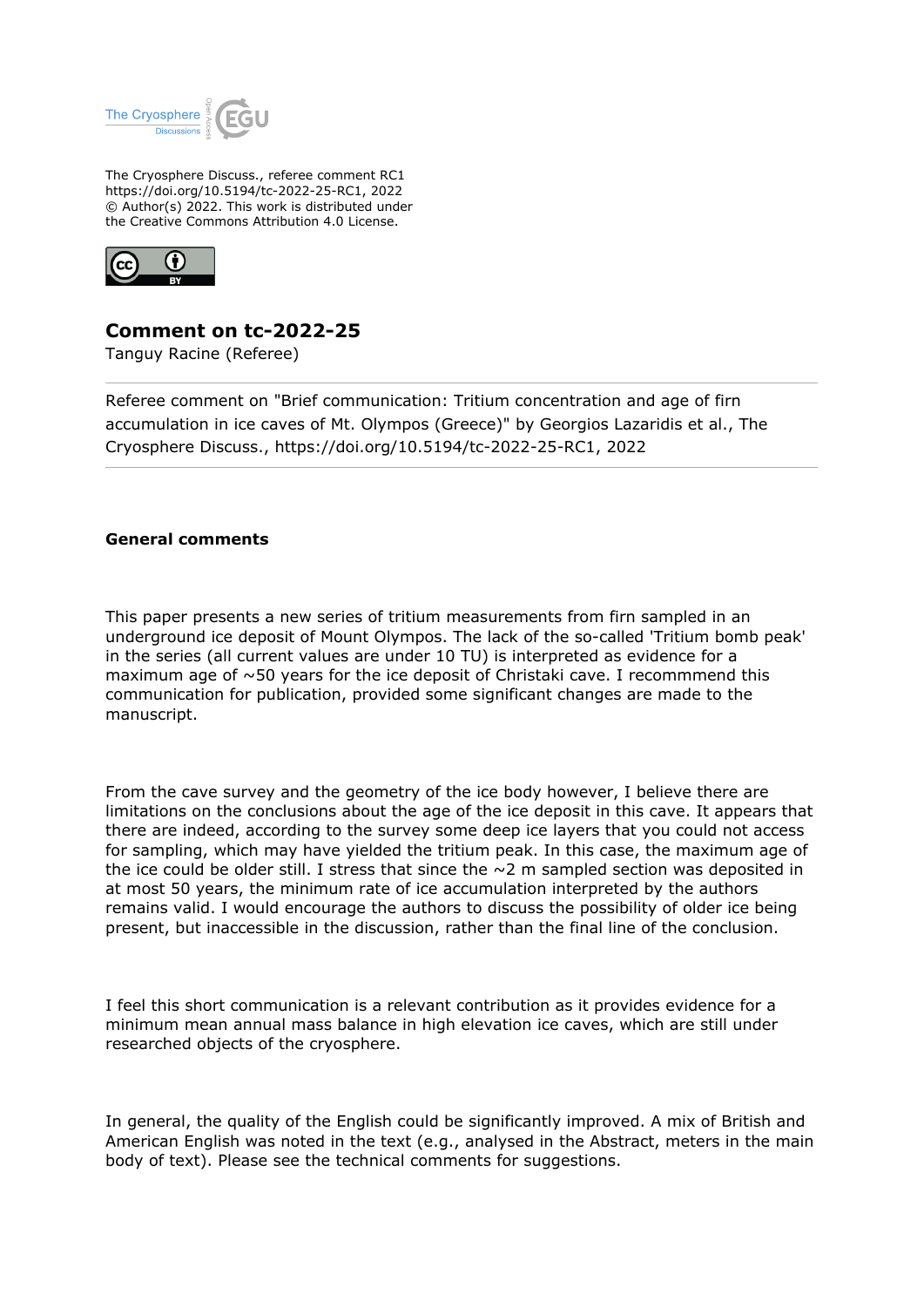

The Cryosphere Discuss., referee comment RC1 https://doi.org/10.5194/tc-2022-25-RC1, 2022 © Author(s) 2022. This work is distributed under the Creative Commons Attribution 4.0 License.



# **Comment on tc-2022-25**

Tanguy Racine (Referee)

Referee comment on "Brief communication: Tritium concentration and age of firn accumulation in ice caves of Mt. Olympos (Greece)" by Georgios Lazaridis et al., The Cryosphere Discuss., https://doi.org/10.5194/tc-2022-25-RC1, 2022

### **General comments**

This paper presents a new series of tritium measurements from firn sampled in an underground ice deposit of Mount Olympos. The lack of the so-called 'Tritium bomb peak' in the series (all current values are under 10 TU) is interpreted as evidence for a maximum age of  $\sim$  50 years for the ice deposit of Christaki cave. I recommmend this communication for publication, provided some significant changes are made to the manuscript.

From the cave survey and the geometry of the ice body however, I believe there are limitations on the conclusions about the age of the ice deposit in this cave. It appears that there are indeed, according to the survey some deep ice layers that you could not access for sampling, which may have yielded the tritium peak. In this case, the maximum age of the ice could be older still. I stress that since the  $\sim$  2 m sampled section was deposited in at most 50 years, the minimum rate of ice accumulation interpreted by the authors remains valid. I would encourage the authors to discuss the possibility of older ice being present, but inaccessible in the discussion, rather than the final line of the conclusion.

I feel this short communication is a relevant contribution as it provides evidence for a minimum mean annual mass balance in high elevation ice caves, which are still under researched objects of the cryosphere.

In general, the quality of the English could be significantly improved. A mix of British and American English was noted in the text (e.g., analysed in the Abstract, meters in the main body of text). Please see the technical comments for suggestions.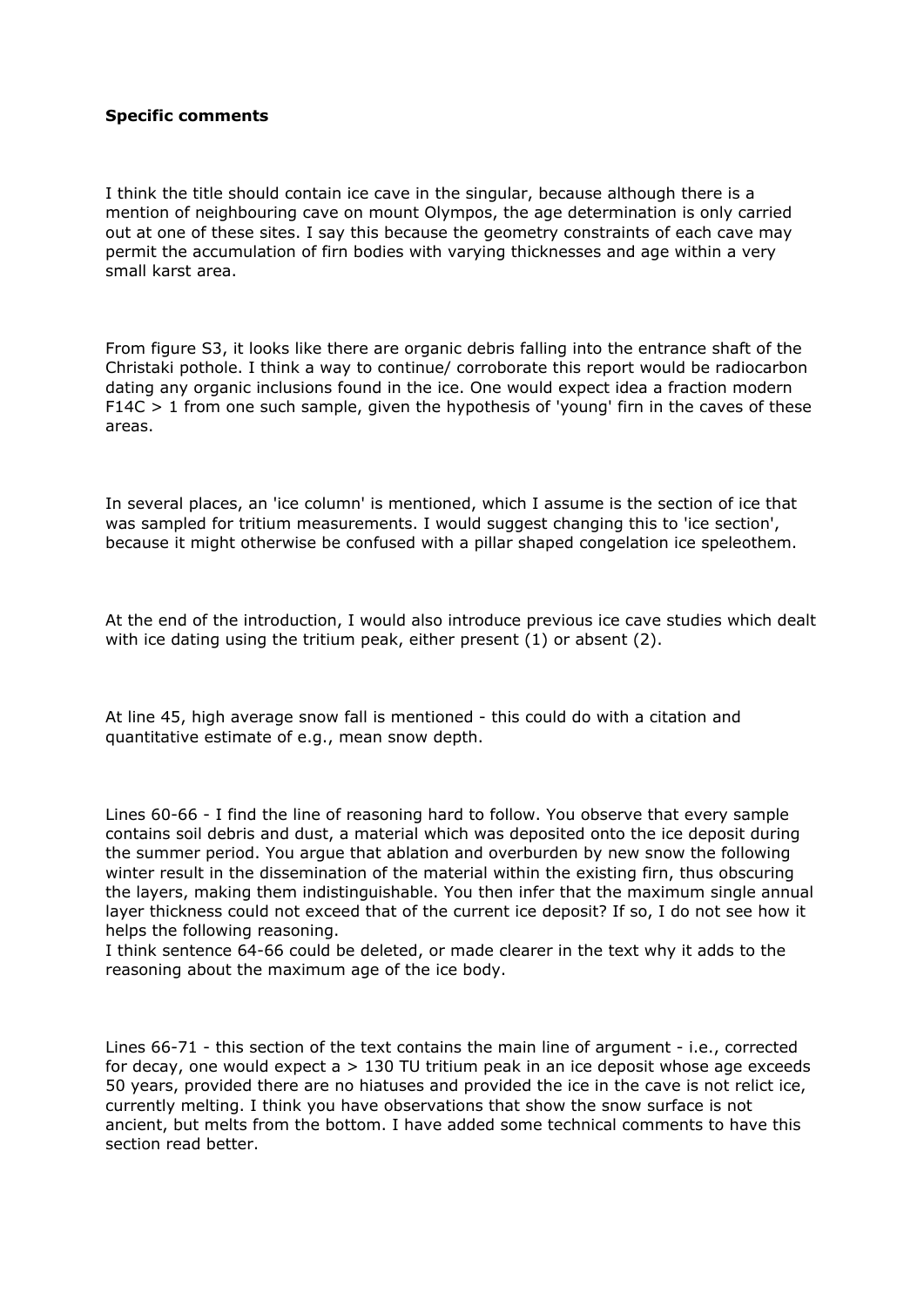#### **Specific comments**

I think the title should contain ice cave in the singular, because although there is a mention of neighbouring cave on mount Olympos, the age determination is only carried out at one of these sites. I say this because the geometry constraints of each cave may permit the accumulation of firn bodies with varying thicknesses and age within a very small karst area.

From figure S3, it looks like there are organic debris falling into the entrance shaft of the Christaki pothole. I think a way to continue/ corroborate this report would be radiocarbon dating any organic inclusions found in the ice. One would expect idea a fraction modern  $F14C > 1$  from one such sample, given the hypothesis of 'young' firn in the caves of these areas.

In several places, an 'ice column' is mentioned, which I assume is the section of ice that was sampled for tritium measurements. I would suggest changing this to 'ice section', because it might otherwise be confused with a pillar shaped congelation ice speleothem.

At the end of the introduction, I would also introduce previous ice cave studies which dealt with ice dating using the tritium peak, either present (1) or absent (2).

At line 45, high average snow fall is mentioned - this could do with a citation and quantitative estimate of e.g., mean snow depth.

Lines 60-66 - I find the line of reasoning hard to follow. You observe that every sample contains soil debris and dust, a material which was deposited onto the ice deposit during the summer period. You argue that ablation and overburden by new snow the following winter result in the dissemination of the material within the existing firn, thus obscuring the layers, making them indistinguishable. You then infer that the maximum single annual layer thickness could not exceed that of the current ice deposit? If so, I do not see how it helps the following reasoning.

I think sentence 64-66 could be deleted, or made clearer in the text why it adds to the reasoning about the maximum age of the ice body.

Lines 66-71 - this section of the text contains the main line of argument - i.e., corrected for decay, one would expect  $a > 130$  TU tritium peak in an ice deposit whose age exceeds 50 years, provided there are no hiatuses and provided the ice in the cave is not relict ice, currently melting. I think you have observations that show the snow surface is not ancient, but melts from the bottom. I have added some technical comments to have this section read better.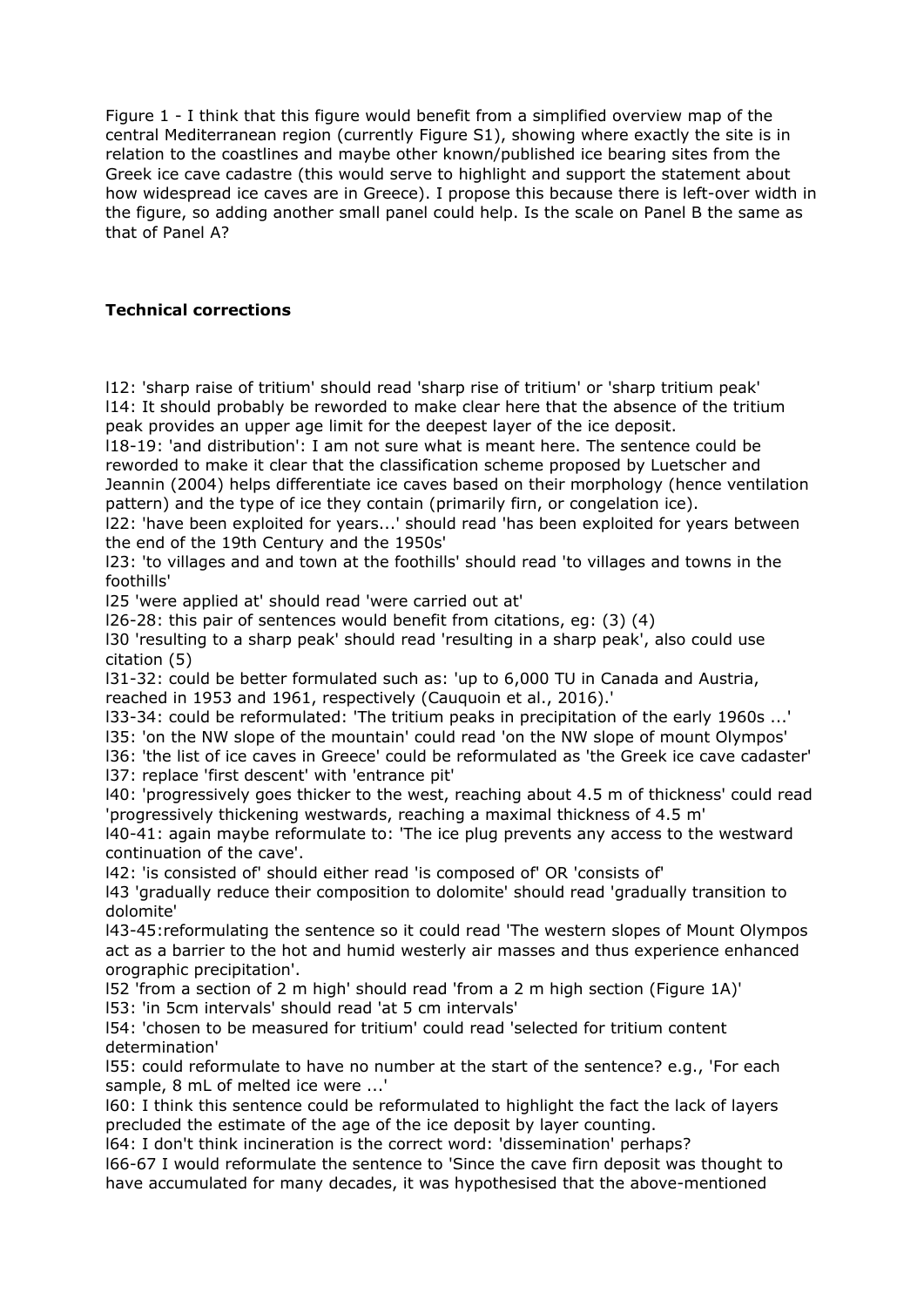Figure 1 - I think that this figure would benefit from a simplified overview map of the central Mediterranean region (currently Figure S1), showing where exactly the site is in relation to the coastlines and maybe other known/published ice bearing sites from the Greek ice cave cadastre (this would serve to highlight and support the statement about how widespread ice caves are in Greece). I propose this because there is left-over width in the figure, so adding another small panel could help. Is the scale on Panel B the same as that of Panel A?

## **Technical corrections**

l12: 'sharp raise of tritium' should read 'sharp rise of tritium' or 'sharp tritium peak' l14: It should probably be reworded to make clear here that the absence of the tritium peak provides an upper age limit for the deepest layer of the ice deposit.

l18-19: 'and distribution': I am not sure what is meant here. The sentence could be reworded to make it clear that the classification scheme proposed by Luetscher and Jeannin (2004) helps differentiate ice caves based on their morphology (hence ventilation pattern) and the type of ice they contain (primarily firn, or congelation ice).

l22: 'have been exploited for years...' should read 'has been exploited for years between the end of the 19th Century and the 1950s'

l23: 'to villages and and town at the foothills' should read 'to villages and towns in the foothills'

l25 'were applied at' should read 'were carried out at'

l26-28: this pair of sentences would benefit from citations, eg: (3) (4)

l30 'resulting to a sharp peak' should read 'resulting in a sharp peak', also could use citation (5)

l31-32: could be better formulated such as: 'up to 6,000 TU in Canada and Austria, reached in 1953 and 1961, respectively (Cauquoin et al., 2016).'

l33-34: could be reformulated: 'The tritium peaks in precipitation of the early 1960s ...'

l35: 'on the NW slope of the mountain' could read 'on the NW slope of mount Olympos' l36: 'the list of ice caves in Greece' could be reformulated as 'the Greek ice cave cadaster'

l37: replace 'first descent' with 'entrance pit'

l40: 'progressively goes thicker to the west, reaching about 4.5 m of thickness' could read 'progressively thickening westwards, reaching a maximal thickness of 4.5 m'

l40-41: again maybe reformulate to: 'The ice plug prevents any access to the westward continuation of the cave'.

l42: 'is consisted of' should either read 'is composed of' OR 'consists of'

l43 'gradually reduce their composition to dolomite' should read 'gradually transition to dolomite'

l43-45:reformulating the sentence so it could read 'The western slopes of Mount Olympos act as a barrier to the hot and humid westerly air masses and thus experience enhanced orographic precipitation'.

l52 'from a section of 2 m high' should read 'from a 2 m high section (Figure 1A)' l53: 'in 5cm intervals' should read 'at 5 cm intervals'

l54: 'chosen to be measured for tritium' could read 'selected for tritium content determination'

l55: could reformulate to have no number at the start of the sentence? e.g., 'For each sample, 8 mL of melted ice were ...'

l60: I think this sentence could be reformulated to highlight the fact the lack of layers precluded the estimate of the age of the ice deposit by layer counting.

l64: I don't think incineration is the correct word: 'dissemination' perhaps?

l66-67 I would reformulate the sentence to 'Since the cave firn deposit was thought to have accumulated for many decades, it was hypothesised that the above-mentioned